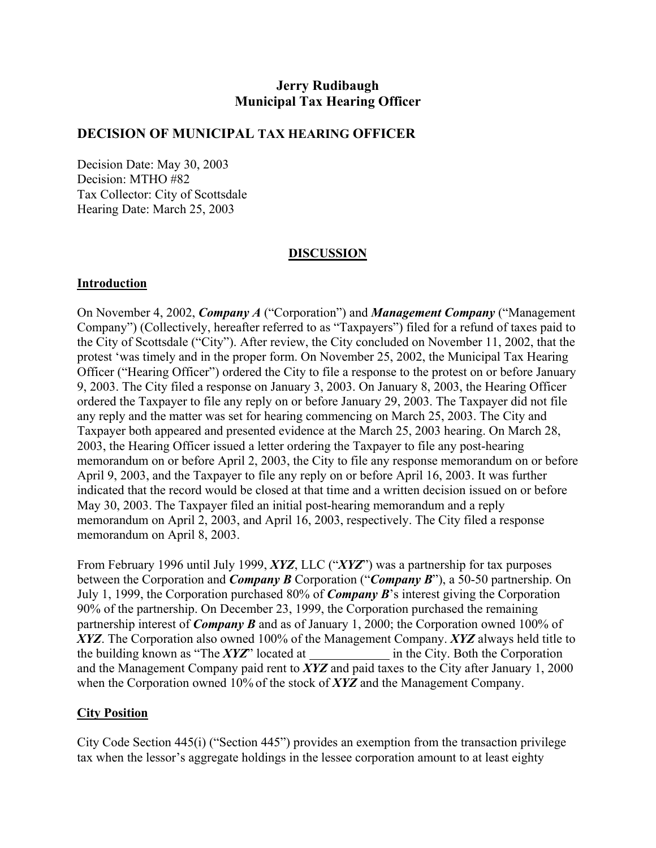# **Jerry Rudibaugh Municipal Tax Hearing Officer**

## **DECISION OF MUNICIPAL TAX HEARING OFFICER**

Decision Date: May 30, 2003 Decision: MTHO #82 Tax Collector: City of Scottsdale Hearing Date: March 25, 2003

## **DISCUSSION**

### **Introduction**

On November 4, 2002, *Company A* ("Corporation") and *Management Company* ("Management Company") (Collectively, hereafter referred to as "Taxpayers") filed for a refund of taxes paid to the City of Scottsdale ("City"). After review, the City concluded on November 11, 2002, that the protest 'was timely and in the proper form. On November 25, 2002, the Municipal Tax Hearing Officer ("Hearing Officer") ordered the City to file a response to the protest on or before January 9, 2003. The City filed a response on January 3, 2003. On January 8, 2003, the Hearing Officer ordered the Taxpayer to file any reply on or before January 29, 2003. The Taxpayer did not file any reply and the matter was set for hearing commencing on March 25, 2003. The City and Taxpayer both appeared and presented evidence at the March 25, 2003 hearing. On March 28, 2003, the Hearing Officer issued a letter ordering the Taxpayer to file any post-hearing memorandum on or before April 2, 2003, the City to file any response memorandum on or before April 9, 2003, and the Taxpayer to file any reply on or before April 16, 2003. It was further indicated that the record would be closed at that time and a written decision issued on or before May 30, 2003. The Taxpayer filed an initial post-hearing memorandum and a reply memorandum on April 2, 2003, and April 16, 2003, respectively. The City filed a response memorandum on April 8, 2003.

From February 1996 until July 1999, *XYZ*, LLC ("*XYZ*") was a partnership for tax purposes between the Corporation and *Company B* Corporation ("*Company B*"), a 50-50 partnership. On July 1, 1999, the Corporation purchased 80% of *Company B*'s interest giving the Corporation 90% of the partnership. On December 23, 1999, the Corporation purchased the remaining partnership interest of *Company B* and as of January 1, 2000; the Corporation owned 100% of *XYZ*. The Corporation also owned 100% of the Management Company. *XYZ* always held title to the building known as "The *XYZ*" located at in the City. Both the Corporation and the Management Company paid rent to *XYZ* and paid taxes to the City after January 1, 2000 when the Corporation owned 10% of the stock of *XYZ* and the Management Company.

## **City Position**

City Code Section 445(i) ("Section 445") provides an exemption from the transaction privilege tax when the lessor's aggregate holdings in the lessee corporation amount to at least eighty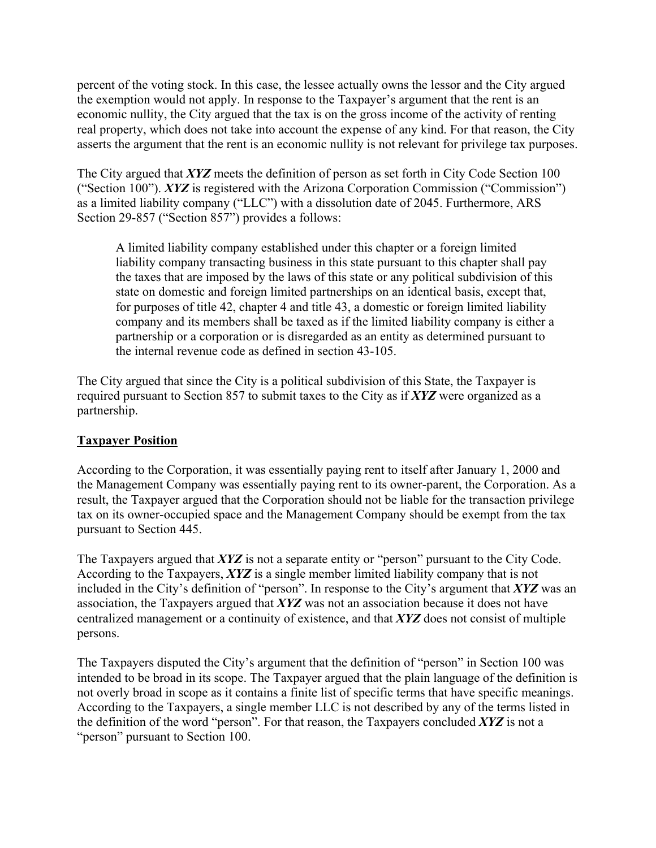percent of the voting stock. In this case, the lessee actually owns the lessor and the City argued the exemption would not apply. In response to the Taxpayer's argument that the rent is an economic nullity, the City argued that the tax is on the gross income of the activity of renting real property, which does not take into account the expense of any kind. For that reason, the City asserts the argument that the rent is an economic nullity is not relevant for privilege tax purposes.

The City argued that *XYZ* meets the definition of person as set forth in City Code Section 100 ("Section 100"). *XYZ* is registered with the Arizona Corporation Commission ("Commission") as a limited liability company ("LLC") with a dissolution date of 2045. Furthermore, ARS Section 29-857 ("Section 857") provides a follows:

A limited liability company established under this chapter or a foreign limited liability company transacting business in this state pursuant to this chapter shall pay the taxes that are imposed by the laws of this state or any political subdivision of this state on domestic and foreign limited partnerships on an identical basis, except that, for purposes of title 42, chapter 4 and title 43, a domestic or foreign limited liability company and its members shall be taxed as if the limited liability company is either a partnership or a corporation or is disregarded as an entity as determined pursuant to the internal revenue code as defined in section 43-105.

The City argued that since the City is a political subdivision of this State, the Taxpayer is required pursuant to Section 857 to submit taxes to the City as if *XYZ* were organized as a partnership.

## **Taxpayer Position**

According to the Corporation, it was essentially paying rent to itself after January 1, 2000 and the Management Company was essentially paying rent to its owner-parent, the Corporation. As a result, the Taxpayer argued that the Corporation should not be liable for the transaction privilege tax on its owner-occupied space and the Management Company should be exempt from the tax pursuant to Section 445.

The Taxpayers argued that *XYZ* is not a separate entity or "person" pursuant to the City Code. According to the Taxpayers, *XYZ* is a single member limited liability company that is not included in the City's definition of "person". In response to the City's argument that *XYZ* was an association, the Taxpayers argued that *XYZ* was not an association because it does not have centralized management or a continuity of existence, and that *XYZ* does not consist of multiple persons.

The Taxpayers disputed the City's argument that the definition of "person" in Section 100 was intended to be broad in its scope. The Taxpayer argued that the plain language of the definition is not overly broad in scope as it contains a finite list of specific terms that have specific meanings. According to the Taxpayers, a single member LLC is not described by any of the terms listed in the definition of the word "person". For that reason, the Taxpayers concluded *XYZ* is not a "person" pursuant to Section 100.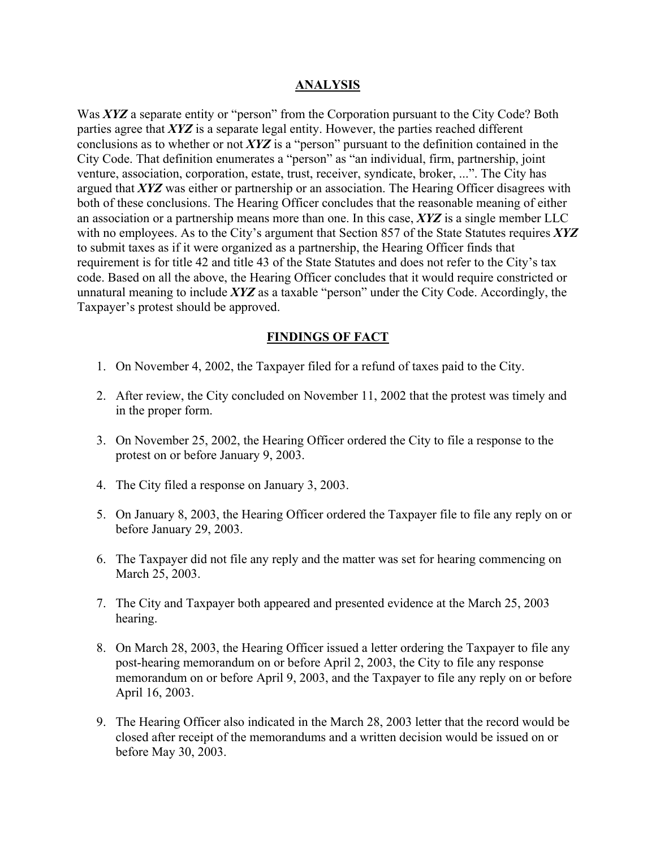#### **ANALYSIS**

Was *XYZ* a separate entity or "person" from the Corporation pursuant to the City Code? Both parties agree that *XYZ* is a separate legal entity. However, the parties reached different conclusions as to whether or not *XYZ* is a "person" pursuant to the definition contained in the City Code. That definition enumerates a "person" as "an individual, firm, partnership, joint venture, association, corporation, estate, trust, receiver, syndicate, broker, ...". The City has argued that *XYZ* was either or partnership or an association. The Hearing Officer disagrees with both of these conclusions. The Hearing Officer concludes that the reasonable meaning of either an association or a partnership means more than one. In this case, *XYZ* is a single member LLC with no employees. As to the City's argument that Section 857 of the State Statutes requires *XYZ* to submit taxes as if it were organized as a partnership, the Hearing Officer finds that requirement is for title 42 and title 43 of the State Statutes and does not refer to the City's tax code. Based on all the above, the Hearing Officer concludes that it would require constricted or unnatural meaning to include *XYZ* as a taxable "person" under the City Code. Accordingly, the Taxpayer's protest should be approved.

## **FINDINGS OF FACT**

- 1. On November 4, 2002, the Taxpayer filed for a refund of taxes paid to the City.
- 2. After review, the City concluded on November 11, 2002 that the protest was timely and in the proper form.
- 3. On November 25, 2002, the Hearing Officer ordered the City to file a response to the protest on or before January 9, 2003.
- 4. The City filed a response on January 3, 2003.
- 5. On January 8, 2003, the Hearing Officer ordered the Taxpayer file to file any reply on or before January 29, 2003.
- 6. The Taxpayer did not file any reply and the matter was set for hearing commencing on March 25, 2003.
- 7. The City and Taxpayer both appeared and presented evidence at the March 25, 2003 hearing.
- 8. On March 28, 2003, the Hearing Officer issued a letter ordering the Taxpayer to file any post-hearing memorandum on or before April 2, 2003, the City to file any response memorandum on or before April 9, 2003, and the Taxpayer to file any reply on or before April 16, 2003.
- 9. The Hearing Officer also indicated in the March 28, 2003 letter that the record would be closed after receipt of the memorandums and a written decision would be issued on or before May 30, 2003.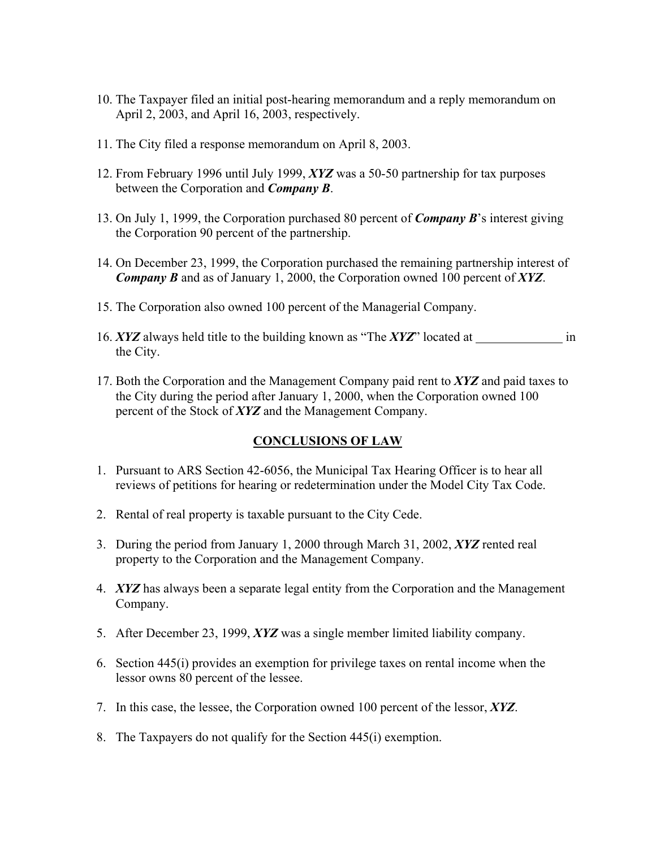- 10. The Taxpayer filed an initial post-hearing memorandum and a reply memorandum on April 2, 2003, and April 16, 2003, respectively.
- 11. The City filed a response memorandum on April 8, 2003.
- 12. From February 1996 until July 1999, *XYZ* was a 50-50 partnership for tax purposes between the Corporation and *Company B*.
- 13. On July 1, 1999, the Corporation purchased 80 percent of *Company B*'s interest giving the Corporation 90 percent of the partnership.
- 14. On December 23, 1999, the Corporation purchased the remaining partnership interest of *Company B* and as of January 1, 2000, the Corporation owned 100 percent of *XYZ*.
- 15. The Corporation also owned 100 percent of the Managerial Company.
- 16. *XYZ* always held title to the building known as "The *XYZ*" located at in the City.
- 17. Both the Corporation and the Management Company paid rent to *XYZ* and paid taxes to the City during the period after January 1, 2000, when the Corporation owned 100 percent of the Stock of *XYZ* and the Management Company.

## **CONCLUSIONS OF LAW**

- 1. Pursuant to ARS Section 42-6056, the Municipal Tax Hearing Officer is to hear all reviews of petitions for hearing or redetermination under the Model City Tax Code.
- 2. Rental of real property is taxable pursuant to the City Cede.
- 3. During the period from January 1, 2000 through March 31, 2002, *XYZ* rented real property to the Corporation and the Management Company.
- 4. *XYZ* has always been a separate legal entity from the Corporation and the Management Company.
- 5. After December 23, 1999, *XYZ* was a single member limited liability company.
- 6. Section 445(i) provides an exemption for privilege taxes on rental income when the lessor owns 80 percent of the lessee.
- 7. In this case, the lessee, the Corporation owned 100 percent of the lessor, *XYZ*.
- 8. The Taxpayers do not qualify for the Section 445(i) exemption.